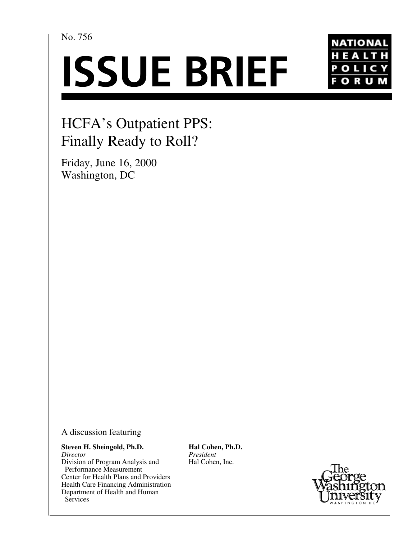No. 756

# **ISSUE BRIEF**



## HCFA's Outpatient PPS: Finally Ready to Roll?

Friday, June 16, 2000 Washington, DC

A discussion featuring

**Steven H. Sheingold, Ph.D.** *Director* Division of Program Analysis and Performance Measurement Center for Health Plans and Providers Health Care Financing Administration Department of Health and Human **Services** 

**Hal Cohen, Ph.D.** *President* Hal Cohen, Inc.

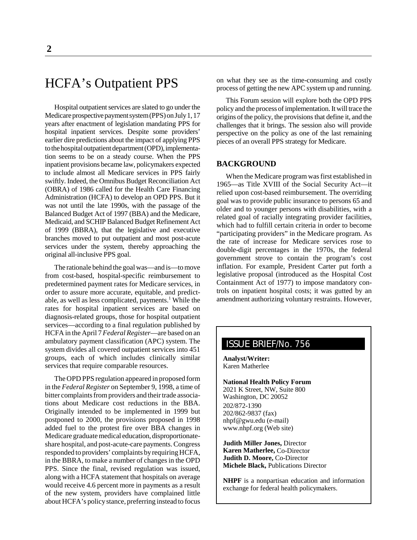### HCFA's Outpatient PPS

Hospital outpatient services are slated to go under the Medicare prospective payment system (PPS) on July 1, 17 years after enactment of legislation mandating PPS for hospital inpatient services. Despite some providers' earlier dire predictions about the impact of applying PPS to the hospital outpatient department (OPD), implementation seems to be on a steady course. When the PPS inpatient provisions became law, policymakers expected to include almost all Medicare services in PPS fairly swiftly. Indeed, the Omnibus Budget Reconciliation Act (OBRA) of 1986 called for the Health Care Financing Administration (HCFA) to develop an OPD PPS. But it was not until the late 1990s, with the passage of the Balanced Budget Act of 1997 (BBA) and the Medicare, Medicaid, and SCHIP Balanced Budget Refinement Act of 1999 (BBRA), that the legislative and executive branches moved to put outpatient and most post-acute services under the system, thereby approaching the original all-inclusive PPS goal.

The rationale behind the goal was—and is—to move from cost-based, hospital-specific reimbursement to predetermined payment rates for Medicare services, in order to assure more accurate, equitable, and predictable, as well as less complicated, payments.<sup>1</sup> While the rates for hospital inpatient services are based on diagnosis-related groups, those for hospital outpatient services—according to a final regulation published by HCFA in the April 7 *Federal Register*—are based on an ambulatory payment classification (APC) system. The system divides all covered outpatient services into 451 groups, each of which includes clinically similar services that require comparable resources.

The OPD PPS regulation appeared in proposed form in the *Federal Register* on September 9, 1998, a time of bitter complaints from providers and their trade associations about Medicare cost reductions in the BBA. Originally intended to be implemented in 1999 but postponed to 2000, the provisions proposed in 1998 added fuel to the protest fire over BBA changes in Medicare graduate medical education, disproportionateshare hospital, and post-acute-care payments. Congress responded to providers' complaints by requiring HCFA, in the BBRA, to make a number of changes in the OPD PPS. Since the final, revised regulation was issued, along with a HCFA statement that hospitals on average would receive 4.6 percent more in payments as a result of the new system, providers have complained little about HCFA's policy stance, preferring instead to focus

on what they see as the time-consuming and costly process of getting the new APC system up and running.

This Forum session will explore both the OPD PPS policy and the process of implementation. It will trace the origins of the policy, the provisions that define it, and the challenges that it brings. The session also will provide perspective on the policy as one of the last remaining pieces of an overall PPS strategy for Medicare.

#### **BACKGROUND**

When the Medicare program was first established in 1965—as Title XVIII of the Social Security Act—it relied upon cost-based reimbursement. The overriding goal was to provide public insurance to persons 65 and older and to younger persons with disabilities, with a related goal of racially integrating provider facilities, which had to fulfill certain criteria in order to become "participating providers" in the Medicare program. As the rate of increase for Medicare services rose to double-digit percentages in the 1970s, the federal government strove to contain the program's cost inflation. For example, President Carter put forth a legislative proposal (introduced as the Hospital Cost Containment Act of 1977) to impose mandatory controls on inpatient hospital costs; it was gutted by an amendment authorizing voluntary restraints. However,

#### ISSUE BRIEF/No. 756

**Analyst/Writer:** Karen Matherlee

**National Health Policy Forum** 2021 K Street, NW, Suite 800 Washington, DC 20052 202/872-1390 202/862-9837 (fax) nhpf@gwu.edu (e-mail) www.nhpf.org (Web site)

**Judith Miller Jones,** Director **Karen Matherlee,** Co-Director **Judith D. Moore,** Co-Director **Michele Black,** Publications Director

**NHPF** is a nonpartisan education and information exchange for federal health policymakers.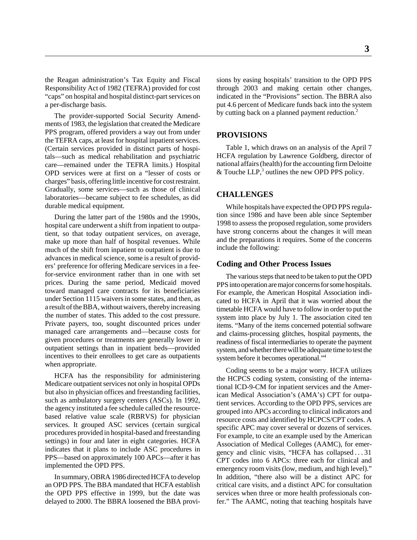the Reagan administration's Tax Equity and Fiscal Responsibility Act of 1982 (TEFRA) provided for cost "caps" on hospital and hospital distinct-part services on a per-discharge basis.

The provider-supported Social Security Amendments of 1983, the legislation that created the Medicare PPS program, offered providers a way out from under the TEFRA caps, at least for hospital inpatient services. (Certain services provided in distinct parts of hospitals—such as medical rehabilitation and psychiatric care—remained under the TEFRA limits.) Hospital OPD services were at first on a "lesser of costs or charges" basis, offering little incentive for cost restraint. Gradually, some services—such as those of clinical laboratories—became subject to fee schedules, as did durable medical equipment.

During the latter part of the 1980s and the 1990s, hospital care underwent a shift from inpatient to outpatient, so that today outpatient services, on average, make up more than half of hospital revenues. While much of the shift from inpatient to outpatient is due to advances in medical science, some is a result of providers' preference for offering Medicare services in a feefor-service environment rather than in one with set prices. During the same period, Medicaid moved toward managed care contracts for its beneficiaries under Section 1115 waivers in some states, and then, as a result of the BBA, without waivers, thereby increasing the number of states. This added to the cost pressure. Private payers, too, sought discounted prices under managed care arrangements and—because costs for given procedures or treatments are generally lower in outpatient settings than in inpatient beds—provided incentives to their enrollees to get care as outpatients when appropriate.

HCFA has the responsibility for administering Medicare outpatient services not only in hospital OPDs but also in physician offices and freestanding facilities, such as ambulatory surgery centers (ASCs). In 1992, the agency instituted a fee schedule called the resourcebased relative value scale (RBRVS) for physician services. It grouped ASC services (certain surgical procedures provided in hospital-based and freestanding settings) in four and later in eight categories. HCFA indicates that it plans to include ASC procedures in PPS—based on approximately 100 APCs—after it has implemented the OPD PPS.

In summary, OBRA 1986 directed HCFA to develop an OPD PPS. The BBA mandated that HCFA establish the OPD PPS effective in 1999, but the date was delayed to 2000. The BBRA loosened the BBA provisions by easing hospitals' transition to the OPD PPS through 2003 and making certain other changes, indicated in the "Provisions" section. The BBRA also put 4.6 percent of Medicare funds back into the system by cutting back on a planned payment reduction.<sup>2</sup>

#### **PROVISIONS**

Table 1, which draws on an analysis of the April 7 HCFA regulation by Lawrence Goldberg, director of national affairs (health) for the accounting firm Deloitte & Touche LLP, $3$  outlines the new OPD PPS policy.

#### **CHALLENGES**

While hospitals have expected the OPD PPS regulation since 1986 and have been able since September 1998 to assess the proposed regulation, some providers have strong concerns about the changes it will mean and the preparations it requires. Some of the concerns include the following:

#### **Coding and Other Process Issues**

The various steps that need to be taken to put the OPD PPS into operation are major concerns for some hospitals. For example, the American Hospital Association indicated to HCFA in April that it was worried about the timetable HCFA would have to follow in order to put the system into place by July 1. The association cited ten items. "Many of the items concerned potential software and claims-processing glitches, hospital payments, the readiness of fiscal intermediaries to operate the payment system, and whether there will be adequate time to test the system before it becomes operational."4

Coding seems to be a major worry. HCFA utilizes the HCPCS coding system, consisting of the international ICD-9-CM for inpatient services and the American Medical Association's (AMA's) CPT for outpatient services. According to the OPD PPS, services are grouped into APCs according to clinical indicators and resource costs and identified by HCPCS/CPT codes. A specific APC may cover several or dozens of services. For example, to cite an example used by the American Association of Medical Colleges (AAMC), for emergency and clinic visits, "HCFA has collapsed . . . 31 CPT codes into 6 APCs: three each for clinical and emergency room visits (low, medium, and high level)." In addition, "there also will be a distinct APC for critical care visits, and a distinct APC for consultation services when three or more health professionals confer." The AAMC, noting that teaching hospitals have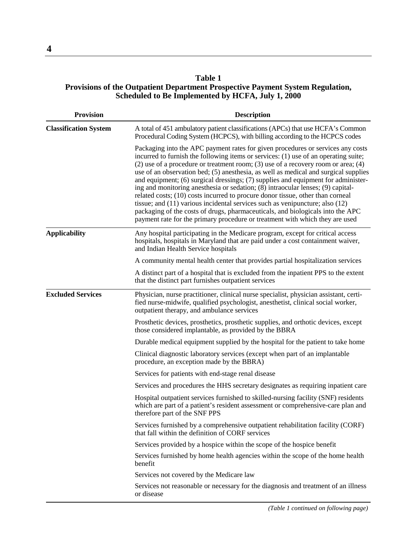#### **Table 1 Provisions of the Outpatient Department Prospective Payment System Regulation, Scheduled to Be Implemented by HCFA, July 1, 2000**

| <b>Provision</b>             | <b>Description</b>                                                                                                                                                                                                                                                                                                                                                                                                                                                                                                                                                                                                                                                                                                                                                                                                                                                   |
|------------------------------|----------------------------------------------------------------------------------------------------------------------------------------------------------------------------------------------------------------------------------------------------------------------------------------------------------------------------------------------------------------------------------------------------------------------------------------------------------------------------------------------------------------------------------------------------------------------------------------------------------------------------------------------------------------------------------------------------------------------------------------------------------------------------------------------------------------------------------------------------------------------|
| <b>Classification System</b> | A total of 451 ambulatory patient classifications (APCs) that use HCFA's Common<br>Procedural Coding System (HCPCS), with billing according to the HCPCS codes                                                                                                                                                                                                                                                                                                                                                                                                                                                                                                                                                                                                                                                                                                       |
|                              | Packaging into the APC payment rates for given procedures or services any costs<br>incurred to furnish the following items or services: (1) use of an operating suite;<br>$(2)$ use of a procedure or treatment room; (3) use of a recovery room or area; (4)<br>use of an observation bed; (5) anesthesia, as well as medical and surgical supplies<br>and equipment; (6) surgical dressings; (7) supplies and equipment for administer-<br>ing and monitoring anesthesia or sedation; (8) intraocular lenses; (9) capital-<br>related costs; (10) costs incurred to procure donor tissue, other than corneal<br>tissue; and $(11)$ various incidental services such as venipuncture; also $(12)$<br>packaging of the costs of drugs, pharmaceuticals, and biologicals into the APC<br>payment rate for the primary procedure or treatment with which they are used |
| <b>Applicability</b>         | Any hospital participating in the Medicare program, except for critical access<br>hospitals, hospitals in Maryland that are paid under a cost containment waiver,<br>and Indian Health Service hospitals                                                                                                                                                                                                                                                                                                                                                                                                                                                                                                                                                                                                                                                             |
|                              | A community mental health center that provides partial hospitalization services                                                                                                                                                                                                                                                                                                                                                                                                                                                                                                                                                                                                                                                                                                                                                                                      |
|                              | A distinct part of a hospital that is excluded from the inpatient PPS to the extent<br>that the distinct part furnishes outpatient services                                                                                                                                                                                                                                                                                                                                                                                                                                                                                                                                                                                                                                                                                                                          |
| <b>Excluded Services</b>     | Physician, nurse practitioner, clinical nurse specialist, physician assistant, certi-<br>fied nurse-midwife, qualified psychologist, anesthetist, clinical social worker,<br>outpatient therapy, and ambulance services                                                                                                                                                                                                                                                                                                                                                                                                                                                                                                                                                                                                                                              |
|                              | Prosthetic devices, prosthetics, prosthetic supplies, and orthotic devices, except<br>those considered implantable, as provided by the BBRA                                                                                                                                                                                                                                                                                                                                                                                                                                                                                                                                                                                                                                                                                                                          |
|                              | Durable medical equipment supplied by the hospital for the patient to take home                                                                                                                                                                                                                                                                                                                                                                                                                                                                                                                                                                                                                                                                                                                                                                                      |
|                              | Clinical diagnostic laboratory services (except when part of an implantable<br>procedure, an exception made by the BBRA)                                                                                                                                                                                                                                                                                                                                                                                                                                                                                                                                                                                                                                                                                                                                             |
|                              | Services for patients with end-stage renal disease                                                                                                                                                                                                                                                                                                                                                                                                                                                                                                                                                                                                                                                                                                                                                                                                                   |
|                              | Services and procedures the HHS secretary designates as requiring inpatient care                                                                                                                                                                                                                                                                                                                                                                                                                                                                                                                                                                                                                                                                                                                                                                                     |
|                              | Hospital outpatient services furnished to skilled-nursing facility (SNF) residents<br>which are part of a patient's resident assessment or comprehensive-care plan and<br>therefore part of the SNF PPS                                                                                                                                                                                                                                                                                                                                                                                                                                                                                                                                                                                                                                                              |
|                              | Services furnished by a comprehensive outpatient rehabilitation facility (CORF)<br>that fall within the definition of CORF services                                                                                                                                                                                                                                                                                                                                                                                                                                                                                                                                                                                                                                                                                                                                  |
|                              | Services provided by a hospice within the scope of the hospice benefit                                                                                                                                                                                                                                                                                                                                                                                                                                                                                                                                                                                                                                                                                                                                                                                               |
|                              | Services furnished by home health agencies within the scope of the home health<br>benefit                                                                                                                                                                                                                                                                                                                                                                                                                                                                                                                                                                                                                                                                                                                                                                            |
|                              | Services not covered by the Medicare law                                                                                                                                                                                                                                                                                                                                                                                                                                                                                                                                                                                                                                                                                                                                                                                                                             |
|                              | Services not reasonable or necessary for the diagnosis and treatment of an illness<br>or disease                                                                                                                                                                                                                                                                                                                                                                                                                                                                                                                                                                                                                                                                                                                                                                     |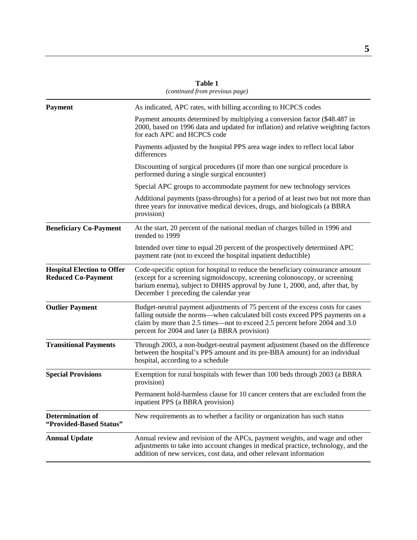|                                                                | (communeu from previous puge)                                                                                                                                                                                                                                                                  |  |
|----------------------------------------------------------------|------------------------------------------------------------------------------------------------------------------------------------------------------------------------------------------------------------------------------------------------------------------------------------------------|--|
| <b>Payment</b>                                                 | As indicated, APC rates, with billing according to HCPCS codes                                                                                                                                                                                                                                 |  |
|                                                                | Payment amounts determined by multiplying a conversion factor (\$48.487 in<br>2000, based on 1996 data and updated for inflation) and relative weighting factors<br>for each APC and HCPCS code                                                                                                |  |
|                                                                | Payments adjusted by the hospital PPS area wage index to reflect local labor<br>differences                                                                                                                                                                                                    |  |
|                                                                | Discounting of surgical procedures (if more than one surgical procedure is<br>performed during a single surgical encounter)                                                                                                                                                                    |  |
|                                                                | Special APC groups to accommodate payment for new technology services                                                                                                                                                                                                                          |  |
|                                                                | Additional payments (pass-throughs) for a period of at least two but not more than<br>three years for innovative medical devices, drugs, and biologicals (a BBRA<br>provision)                                                                                                                 |  |
| <b>Beneficiary Co-Payment</b>                                  | At the start, 20 percent of the national median of charges billed in 1996 and<br>trended to 1999                                                                                                                                                                                               |  |
|                                                                | Intended over time to equal 20 percent of the prospectively determined APC<br>payment rate (not to exceed the hospital inpatient deductible)                                                                                                                                                   |  |
| <b>Hospital Election to Offer</b><br><b>Reduced Co-Payment</b> | Code-specific option for hospital to reduce the beneficiary coinsurance amount<br>(except for a screening sigmoidoscopy, screening colonoscopy, or screening<br>barium enema), subject to DHHS approval by June 1, 2000, and, after that, by<br>December 1 preceding the calendar year         |  |
| <b>Outlier Payment</b>                                         | Budget-neutral payment adjustments of 75 percent of the excess costs for cases<br>falling outside the norms—when calculated bill costs exceed PPS payments on a<br>claim by more than 2.5 times—not to exceed 2.5 percent before 2004 and 3.0<br>percent for 2004 and later (a BBRA provision) |  |
| <b>Transitional Payments</b>                                   | Through 2003, a non-budget-neutral payment adjustment (based on the difference<br>between the hospital's PPS amount and its pre-BBA amount) for an individual<br>hospital, according to a schedule                                                                                             |  |
| <b>Special Provisions</b>                                      | Exemption for rural hospitals with fewer than 100 beds through 2003 (a BBRA<br>provision)                                                                                                                                                                                                      |  |
|                                                                | Permanent hold-harmless clause for 10 cancer centers that are excluded from the<br>inpatient PPS (a BBRA provision)                                                                                                                                                                            |  |
| <b>Determination of</b><br>"Provided-Based Status"             | New requirements as to whether a facility or organization has such status                                                                                                                                                                                                                      |  |
| <b>Annual Update</b>                                           | Annual review and revision of the APCs, payment weights, and wage and other<br>adjustments to take into account changes in medical practice, technology, and the<br>addition of new services, cost data, and other relevant information                                                        |  |

**Table 1** *(continued from previous page)*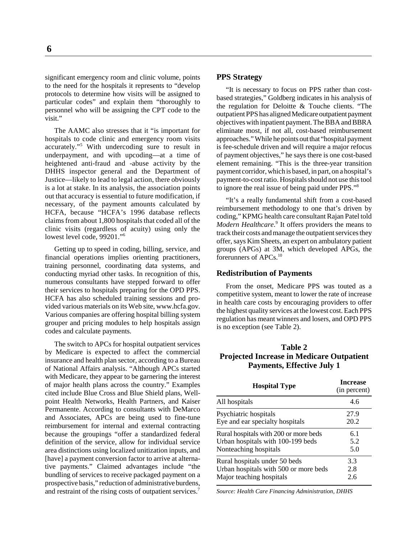significant emergency room and clinic volume, points to the need for the hospitals it represents to "develop protocols to determine how visits will be assigned to particular codes" and explain them "thoroughly to personnel who will be assigning the CPT code to the visit."

The AAMC also stresses that it "is important for hospitals to code clinic and emergency room visits accurately."5 With undercoding sure to result in underpayment, and with upcoding—at a time of heightened anti-fraud and -abuse activity by the DHHS inspector general and the Department of Justice—likely to lead to legal action, there obviously is a lot at stake. In its analysis, the association points out that accuracy is essential to future modification, if necessary, of the payment amounts calculated by HCFA, because "HCFA's 1996 database reflects claims from about 1,800 hospitals that coded all of the clinic visits (regardless of acuity) using only the lowest level code, 99201."<sup>6</sup>

Getting up to speed in coding, billing, service, and financial operations implies orienting practitioners, training personnel, coordinating data systems, and conducting myriad other tasks. In recognition of this, numerous consultants have stepped forward to offer their services to hospitals preparing for the OPD PPS. HCFA has also scheduled training sessions and provided various materials on its Web site, www.hcfa.gov. Various companies are offering hospital billing system grouper and pricing modules to help hospitals assign codes and calculate payments.

The switch to APCs for hospital outpatient services by Medicare is expected to affect the commercial insurance and health plan sector, according to a Bureau of National Affairs analysis. "Although APCs started with Medicare, they appear to be garnering the interest of major health plans across the country." Examples cited include Blue Cross and Blue Shield plans, Wellpoint Health Networks, Health Partners, and Kaiser Permanente. According to consultants with DeMarco and Associates, APCs are being used to fine-tune reimbursement for internal and external contracting because the groupings "offer a standardized federal definition of the service, allow for individual service area distinctions using localized unitization inputs, and [have] a payment conversion factor to arrive at alternative payments." Claimed advantages include "the bundling of services to receive packaged payment on a prospective basis," reduction of administrative burdens, and restraint of the rising costs of outpatient services.<sup>7</sup>

#### **PPS Strategy**

"It is necessary to focus on PPS rather than costbased strategies," Goldberg indicates in his analysis of the regulation for Deloitte & Touche clients. "The outpatient PPS has aligned Medicare outpatient payment objectives with inpatient payment. The BBA and BBRA eliminate most, if not all, cost-based reimbursement approaches." While he points out that "hospital payment is fee-schedule driven and will require a major refocus of payment objectives," he says there is one cost-based element remaining. "This is the three-year transition payment corridor, which is based, in part, on a hospital's payment-to-cost ratio. Hospitals should not use this tool to ignore the real issue of being paid under PPS."8

"It's a really fundamental shift from a cost-based reimbursement methodology to one that's driven by coding," KPMG health care consultant Rajan Patel told Modern Healthcare.<sup>9</sup> It offers providers the means to track their costs and manage the outpatient services they offer, says Kim Sheets, an expert on ambulatory patient groups (APGs) at 3M, which developed APGs, the forerunners of APCs.10

#### **Redistribution of Payments**

From the onset, Medicare PPS was touted as a competitive system, meant to lower the rate of increase in health care costs by encouraging providers to offer the highest quality services at the lowest cost. Each PPS regulation has meant winners and losers, and OPD PPS is no exception (see Table 2).

#### **Table 2 Projected Increase in Medicare Outpatient Payments, Effective July 1**

| <b>Hospital Type</b>                  | <b>Increase</b><br>(in percent) |
|---------------------------------------|---------------------------------|
| All hospitals                         | 4.6                             |
| Psychiatric hospitals                 | 27.9                            |
| Eye and ear specialty hospitals       | 20.2                            |
| Rural hospitals with 200 or more beds | 6.1                             |
| Urban hospitals with 100-199 beds     | 5.2                             |
| Nonteaching hospitals                 | 5.0                             |
| Rural hospitals under 50 beds         | 3.3                             |
| Urban hospitals with 500 or more beds | 2.8                             |
| Major teaching hospitals              | 2.6                             |

*Source: Health Care Financing Administration, DHHS*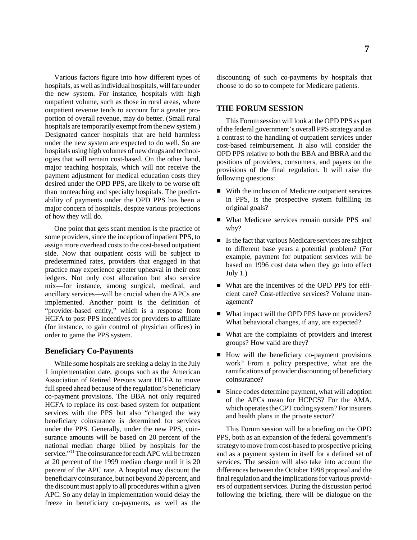Various factors figure into how different types of hospitals, as well as individual hospitals, will fare under the new system. For instance, hospitals with high outpatient volume, such as those in rural areas, where outpatient revenue tends to account for a greater proportion of overall revenue, may do better. (Small rural hospitals are temporarily exempt from the new system.) Designated cancer hospitals that are held harmless under the new system are expected to do well. So are hospitals using high volumes of new drugs and technologies that will remain cost-based. On the other hand, major teaching hospitals, which will not receive the payment adjustment for medical education costs they desired under the OPD PPS, are likely to be worse off than nonteaching and specialty hospitals. The predictability of payments under the OPD PPS has been a major concern of hospitals, despite various projections of how they will do.

One point that gets scant mention is the practice of some providers, since the inception of inpatient PPS, to assign more overhead costs to the cost-based outpatient side. Now that outpatient costs will be subject to predetermined rates, providers that engaged in that practice may experience greater upheaval in their cost ledgers. Not only cost allocation but also service mix—for instance, among surgical, medical, and ancillary services—will be crucial when the APCs are implemented. Another point is the definition of "provider-based entity," which is a response from HCFA to post-PPS incentives for providers to affiliate (for instance, to gain control of physician offices) in order to game the PPS system.

#### **Beneficiary Co-Payments**

While some hospitals are seeking a delay in the July 1 implementation date, groups such as the American Association of Retired Persons want HCFA to move full speed ahead because of the regulation's beneficiary co-payment provisions. The BBA not only required HCFA to replace its cost-based system for outpatient services with the PPS but also "changed the way beneficiary coinsurance is determined for services under the PPS. Generally, under the new PPS, coinsurance amounts will be based on 20 percent of the national median charge billed by hospitals for the service."<sup>11</sup> The coinsurance for each APC will be frozen at 20 percent of the 1999 median charge until it is 20 percent of the APC rate. A hospital may discount the beneficiary coinsurance, but not beyond 20 percent, and the discount must apply to all procedures within a given APC. So any delay in implementation would delay the freeze in beneficiary co-payments, as well as the

discounting of such co-payments by hospitals that choose to do so to compete for Medicare patients.

#### **THE FORUM SESSION**

This Forum session will look at the OPD PPS as part of the federal government's overall PPS strategy and as a contrast to the handling of outpatient services under cost-based reimbursement. It also will consider the OPD PPS relative to both the BBA and BBRA and the positions of providers, consumers, and payers on the provisions of the final regulation. It will raise the following questions:

- With the inclusion of Medicare outpatient services in PPS, is the prospective system fulfilling its original goals?
- What Medicare services remain outside PPS and why?
- Is the fact that various Medicare services are subject to different base years a potential problem? (For example, payment for outpatient services will be based on 1996 cost data when they go into effect July 1.)
- What are the incentives of the OPD PPS for efficient care? Cost-effective services? Volume management?
- What impact will the OPD PPS have on providers? What behavioral changes, if any, are expected?
- What are the complaints of providers and interest groups? How valid are they?
- How will the beneficiary co-payment provisions work? From a policy perspective, what are the ramifications of provider discounting of beneficiary coinsurance?
- Since codes determine payment, what will adoption of the APCs mean for HCPCS? For the AMA, which operates the CPT coding system? For insurers and health plans in the private sector?

This Forum session will be a briefing on the OPD PPS, both as an expansion of the federal government's strategy to move from cost-based to prospective pricing and as a payment system in itself for a defined set of services. The session will also take into account the differences between the October 1998 proposal and the final regulation and the implications for various providers of outpatient services. During the discussion period following the briefing, there will be dialogue on the